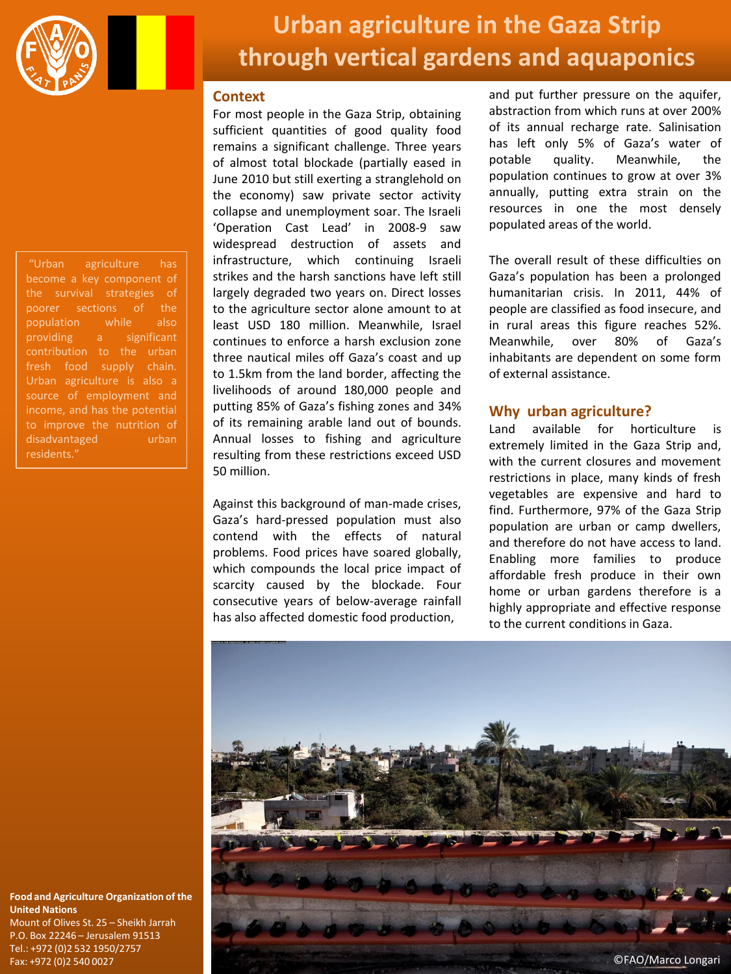

"Urban agriculture has the survival strategies of poorer sections of the population while also providing a significant fresh food supply chain. Urban agriculture is also a source of employment and income, and has the potential to improve the nutrition of disadvantaged urban residents."

# **Urban agriculture in the Gaza Strip through vertical gardens and aquaponics**

## **Context**

For most people in the Gaza Strip, obtaining sufficient quantities of good quality food remains a significant challenge. Three years of almost total blockade (partially eased in June 2010 but still exerting a stranglehold on the economy) saw private sector activity collapse and unemployment soar. The Israeli 'Operation Cast Lead' in 2008-9 saw widespread destruction of assets and infrastructure, which continuing Israeli strikes and the harsh sanctions have left still largely degraded two years on. Direct losses to the agriculture sector alone amount to at least USD 180 million. Meanwhile, Israel continues to enforce a harsh exclusion zone three nautical miles off Gaza's coast and up to 1.5km from the land border, affecting the livelihoods of around 180,000 people and putting 85% of Gaza's fishing zones and 34% of its remaining arable land out of bounds. Annual losses to fishing and agriculture resulting from these restrictions exceed USD 50 million.

Against this background of man-made crises, Gaza's hard-pressed population must also contend with the effects of natural problems. Food prices have soared globally, which compounds the local price impact of scarcity caused by the blockade. Four consecutive years of below-average rainfall has also affected domestic food production,

and put further pressure on the aquifer, abstraction from which runs at over 200% of its annual recharge rate. Salinisation has left only 5% of Gaza's water of potable quality. Meanwhile, the population continues to grow at over 3% annually, putting extra strain on the resources in one the most densely populated areas of the world.

The overall result of these difficulties on Gaza's population has been a prolonged humanitarian crisis. In 2011, 44% of people are classified as food insecure, and in rural areas this figure reaches 52%. Meanwhile, over 80% of Gaza's inhabitants are dependent on some form of external assistance.

# **Why urban agriculture?**

Land available for horticulture is extremely limited in the Gaza Strip and, with the current closures and movement restrictions in place, many kinds of fresh vegetables are expensive and hard to find. Furthermore, 97% of the Gaza Strip population are urban or camp dwellers, and therefore do not have access to land. Enabling more families to produce affordable fresh produce in their own home or urban gardens therefore is a highly appropriate and effective response to the current conditions in Gaza.



### **Food and Agriculture Organization of the United Nations**

Mount of Olives St. 25 – Sheikh Jarrah P.O. Box 22246 – Jerusalem 91513 Tel.: +972 (0)2 532 1950/2757 Fax: +972 (0)2 540 0027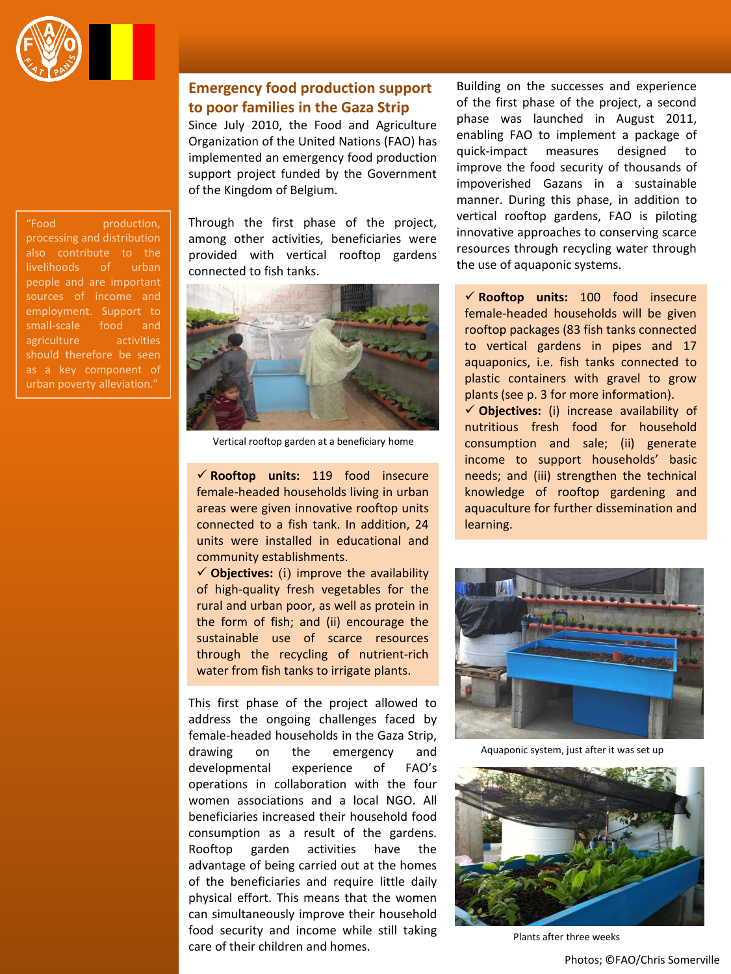

# **Emergency food production support to poor families in the Gaza Strip**

Since July 2010, the Food and Agriculture Organization of the United Nations (FAO) has implemented an emergency food production support project funded by the Government of the Kingdom of Belgium.

"Food production, processing and distribution also contribute to the livelihoods of urban people and are important employment. Support to small-scale food and agriculture activities should therefore be seen as a key component of

Through the first phase of the project, among other activities, beneficiaries were provided with vertical rooftop gardens connected to fish tanks.



Vertical rooftop garden at a beneficiary home

 **Rooftop units:** 119 food insecure female-headed households living in urban areas were given innovative rooftop units connected to a fish tank. In addition, 24 units were installed in educational and community establishments.

 $\checkmark$  Objectives: (i) improve the availability of high-quality fresh vegetables for the rural and urban poor, as well as protein in the form of fish; and (ii) encourage the sustainable use of scarce resources through the recycling of nutrient-rich water from fish tanks to irrigate plants.

This first phase of the project allowed to address the ongoing challenges faced by female-headed households in the Gaza Strip, drawing on the emergency and developmental experience of FAO's operations in collaboration with the four women associations and a local NGO. All beneficiaries increased their household food consumption as a result of the gardens. Rooftop garden activities have the advantage of being carried out at the homes of the beneficiaries and require little daily physical effort. This means that the women can simultaneously improve their household food security and income while still taking care of their children and homes.

Building on the successes and experience of the first phase of the project, a second phase was launched in August 2011, enabling FAO to implement a package of quick-impact measures designed to improve the food security of thousands of impoverished Gazans in a sustainable manner. During this phase, in addition to vertical rooftop gardens, FAO is piloting innovative approaches to conserving scarce resources through recycling water through the use of aquaponic systems.

 **Rooftop units:** 100 food insecure female-headed households will be given rooftop packages (83 fish tanks connected to vertical gardens in pipes and 17 aquaponics, i.e. fish tanks connected to plastic containers with gravel to grow plants (see p. 3 for more information).

 **Objectives:** (i) increase availability of nutritious fresh food for household consumption and sale; (ii) generate income to support households' basic needs; and (iii) strengthen the technical knowledge of rooftop gardening and aquaculture for further dissemination and learning.



Aquaponic system, just after it was set up



Plants after three weeks